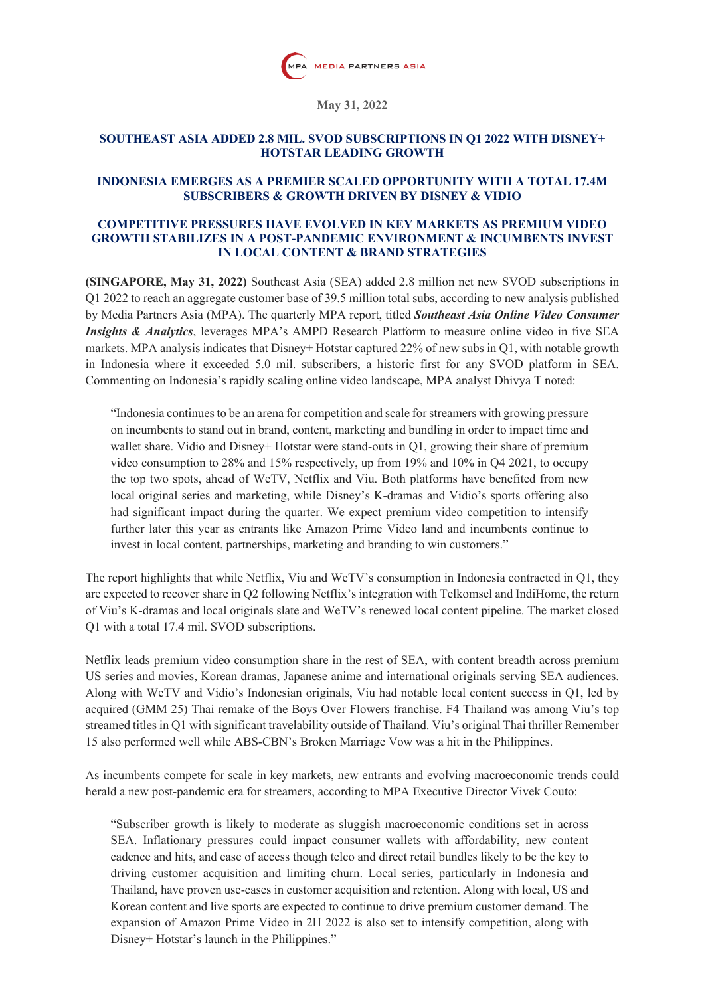

**May 31, 2022**

### **SOUTHEAST ASIA ADDED 2.8 MIL. SVOD SUBSCRIPTIONS IN Q1 2022 WITH DISNEY+ HOTSTAR LEADING GROWTH**

### **INDONESIA EMERGES AS A PREMIER SCALED OPPORTUNITY WITH A TOTAL 17.4M SUBSCRIBERS & GROWTH DRIVEN BY DISNEY & VIDIO**

#### **COMPETITIVE PRESSURES HAVE EVOLVED IN KEY MARKETS AS PREMIUM VIDEO GROWTH STABILIZES IN A POST-PANDEMIC ENVIRONMENT & INCUMBENTS INVEST IN LOCAL CONTENT & BRAND STRATEGIES**

**(SINGAPORE, May 31, 2022)** Southeast Asia (SEA) added 2.8 million net new SVOD subscriptions in Q1 2022 to reach an aggregate customer base of 39.5 million total subs, according to new analysis published by Media Partners Asia (MPA). The quarterly MPA report, titled *Southeast Asia Online Video Consumer Insights & Analytics*, leverages MPA's AMPD Research Platform to measure online video in five SEA markets. MPA analysis indicates that Disney+ Hotstar captured 22% of new subs in Q1, with notable growth in Indonesia where it exceeded 5.0 mil. subscribers, a historic first for any SVOD platform in SEA. Commenting on Indonesia's rapidly scaling online video landscape, MPA analyst Dhivya T noted:

"Indonesia continues to be an arena for competition and scale for streamers with growing pressure on incumbents to stand out in brand, content, marketing and bundling in order to impact time and wallet share. Vidio and Disney+ Hotstar were stand-outs in Q1, growing their share of premium video consumption to 28% and 15% respectively, up from 19% and 10% in Q4 2021, to occupy the top two spots, ahead of WeTV, Netflix and Viu. Both platforms have benefited from new local original series and marketing, while Disney's K-dramas and Vidio's sports offering also had significant impact during the quarter. We expect premium video competition to intensify further later this year as entrants like Amazon Prime Video land and incumbents continue to invest in local content, partnerships, marketing and branding to win customers."

The report highlights that while Netflix, Viu and WeTV's consumption in Indonesia contracted in Q1, they are expected to recover share in Q2 following Netflix's integration with Telkomsel and IndiHome, the return of Viu's K-dramas and local originals slate and WeTV's renewed local content pipeline. The market closed Q1 with a total 17.4 mil. SVOD subscriptions.

Netflix leads premium video consumption share in the rest of SEA, with content breadth across premium US series and movies, Korean dramas, Japanese anime and international originals serving SEA audiences. Along with WeTV and Vidio's Indonesian originals, Viu had notable local content success in Q1, led by acquired (GMM 25) Thai remake of the Boys Over Flowers franchise. F4 Thailand was among Viu's top streamed titles in Q1 with significant travelability outside of Thailand. Viu's original Thai thriller Remember 15 also performed well while ABS-CBN's Broken Marriage Vow was a hit in the Philippines.

As incumbents compete for scale in key markets, new entrants and evolving macroeconomic trends could herald a new post-pandemic era for streamers, according to MPA Executive Director Vivek Couto:

"Subscriber growth is likely to moderate as sluggish macroeconomic conditions set in across SEA. Inflationary pressures could impact consumer wallets with affordability, new content cadence and hits, and ease of access though telco and direct retail bundles likely to be the key to driving customer acquisition and limiting churn. Local series, particularly in Indonesia and Thailand, have proven use-cases in customer acquisition and retention. Along with local, US and Korean content and live sports are expected to continue to drive premium customer demand. The expansion of Amazon Prime Video in 2H 2022 is also set to intensify competition, along with Disney+ Hotstar's launch in the Philippines."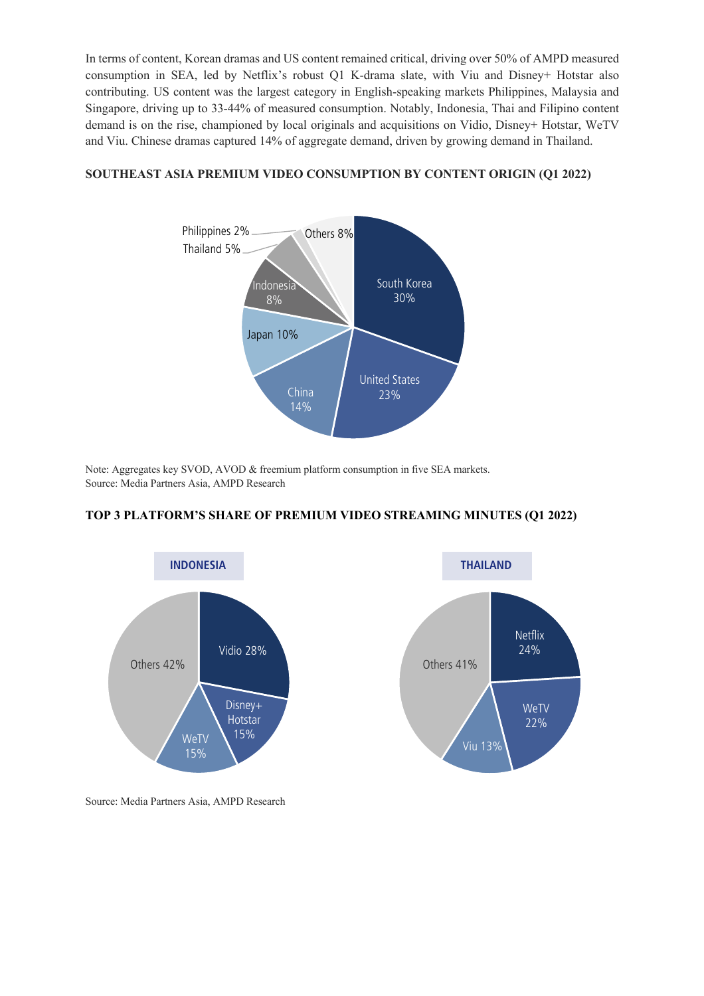In terms of content, Korean dramas and US content remained critical, driving over 50% of AMPD measured consumption in SEA, led by Netflix's robust Q1 K-drama slate, with Viu and Disney+ Hotstar also contributing. US content was the largest category in English-speaking markets Philippines, Malaysia and Singapore, driving up to 33-44% of measured consumption. Notably, Indonesia, Thai and Filipino content demand is on the rise, championed by local originals and acquisitions on Vidio, Disney+ Hotstar, WeTV and Viu. Chinese dramas captured 14% of aggregate demand, driven by growing demand in Thailand.

# **SOUTHEAST ASIA PREMIUM VIDEO CONSUMPTION BY CONTENT ORIGIN (Q1 2022)**



Note: Aggregates key SVOD, AVOD & freemium platform consumption in five SEA markets. Source: Media Partners Asia, AMPD Research



# **TOP 3 PLATFORM'S SHARE OF PREMIUM VIDEO STREAMING MINUTES (Q1 2022)**

Source: Media Partners Asia, AMPD Research